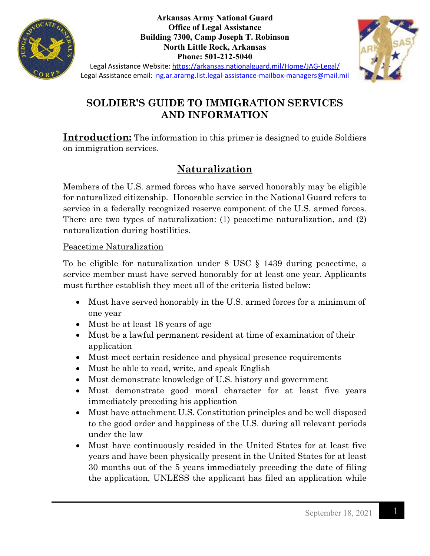

**Arkansas Army National Guard Office of Legal Assistance Building 7300, Camp Joseph T. Robinson North Little Rock, Arkansas Phone: 501-212-5040**



Legal Assistance Website:<https://arkansas.nationalguard.mil/Home/JAG-Legal/> Legal Assistance email: [ng.ar.ararng.list.legal-assistance-mailbox-managers@mail.mil](mailto:ng.ar.ararng.list.legal-assistance-mailbox-managers@mail.mil)

## **SOLDIER'S GUIDE TO IMMIGRATION SERVICES AND INFORMATION**

**Introduction:** The information in this primer is designed to guide Soldiers on immigration services.

## **Naturalization**

Members of the U.S. armed forces who have served honorably may be eligible for naturalized citizenship. Honorable service in the National Guard refers to service in a federally recognized reserve component of the U.S. armed forces. There are two types of naturalization: (1) peacetime naturalization, and (2) naturalization during hostilities.

#### Peacetime Naturalization

To be eligible for naturalization under 8 USC § 1439 during peacetime, a service member must have served honorably for at least one year. Applicants must further establish they meet all of the criteria listed below:

- Must have served honorably in the U.S. armed forces for a minimum of one year
- Must be at least 18 years of age
- Must be a lawful permanent resident at time of examination of their application
- Must meet certain residence and physical presence requirements
- Must be able to read, write, and speak English
- Must demonstrate knowledge of U.S. history and government
- Must demonstrate good moral character for at least five years immediately preceding his application
- Must have attachment U.S. Constitution principles and be well disposed to the good order and happiness of the U.S. during all relevant periods under the law
- Must have continuously resided in the United States for at least five years and have been physically present in the United States for at least 30 months out of the 5 years immediately preceding the date of filing the application, UNLESS the applicant has filed an application while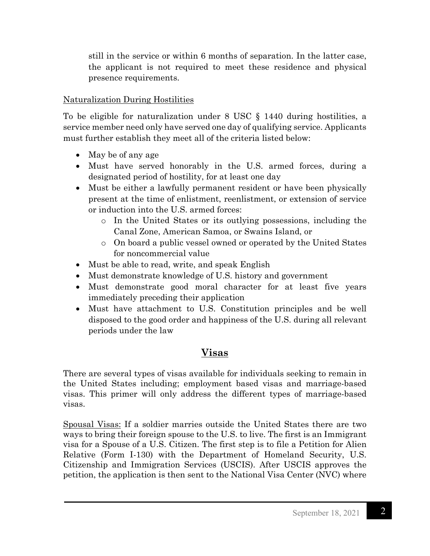still in the service or within 6 months of separation. In the latter case, the applicant is not required to meet these residence and physical presence requirements.

### Naturalization During Hostilities

To be eligible for naturalization under 8 USC § 1440 during hostilities, a service member need only have served one day of qualifying service. Applicants must further establish they meet all of the criteria listed below:

- May be of any age
- Must have served honorably in the U.S. armed forces, during a designated period of hostility, for at least one day
- Must be either a lawfully permanent resident or have been physically present at the time of enlistment, reenlistment, or extension of service or induction into the U.S. armed forces:
	- o In the United States or its outlying possessions, including the Canal Zone, American Samoa, or Swains Island, or
	- o On board a public vessel owned or operated by the United States for noncommercial value
- Must be able to read, write, and speak English
- Must demonstrate knowledge of U.S. history and government
- Must demonstrate good moral character for at least five years immediately preceding their application
- Must have attachment to U.S. Constitution principles and be well disposed to the good order and happiness of the U.S. during all relevant periods under the law

# **Visas**

There are several types of visas available for individuals seeking to remain in the United States including; employment based visas and marriage-based visas. This primer will only address the different types of marriage-based visas.

Spousal Visas: If a soldier marries outside the United States there are two ways to bring their foreign spouse to the U.S. to live. The first is an Immigrant visa for a Spouse of a U.S. Citizen. The first step is to file a Petition for Alien Relative (Form I-130) with the Department of Homeland Security, U.S. Citizenship and Immigration Services (USCIS). After USCIS approves the petition, the application is then sent to the National Visa Center (NVC) where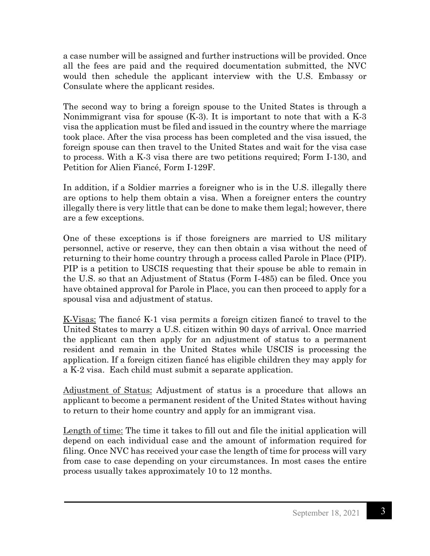a case number will be assigned and further instructions will be provided. Once all the fees are paid and the required documentation submitted, the NVC would then schedule the applicant interview with the U.S. Embassy or Consulate where the applicant resides.

The second way to bring a foreign spouse to the United States is through a Nonimmigrant visa for spouse (K-3). It is important to note that with a K-3 visa the application must be filed and issued in the country where the marriage took place. After the visa process has been completed and the visa issued, the foreign spouse can then travel to the United States and wait for the visa case to process. With a K-3 visa there are two petitions required; Form I-130, and Petition for Alien Fiancé, Form I-129F.

In addition, if a Soldier marries a foreigner who is in the U.S. illegally there are options to help them obtain a visa. When a foreigner enters the country illegally there is very little that can be done to make them legal; however, there are a few exceptions.

One of these exceptions is if those foreigners are married to US military personnel, active or reserve, they can then obtain a visa without the need of returning to their home country through a process called Parole in Place (PIP). PIP is a petition to USCIS requesting that their spouse be able to remain in the U.S. so that an Adjustment of Status (Form I-485) can be filed. Once you have obtained approval for Parole in Place, you can then proceed to apply for a spousal visa and adjustment of status.

K-Visas: The fiancé K-1 visa permits a foreign citizen fiancé to travel to the United States to marry a U.S. citizen within 90 days of arrival. Once married the applicant can then apply for an adjustment of status to a permanent resident and remain in the United States while USCIS is processing the application. If a foreign citizen fiancé has eligible children they may apply for a K-2 visa. Each child must submit a separate application.

Adjustment of Status: Adjustment of status is a procedure that allows an applicant to become a permanent resident of the United States without having to return to their home country and apply for an immigrant visa.

Length of time: The time it takes to fill out and file the initial application will depend on each individual case and the amount of information required for filing. Once NVC has received your case the length of time for process will vary from case to case depending on your circumstances. In most cases the entire process usually takes approximately 10 to 12 months.